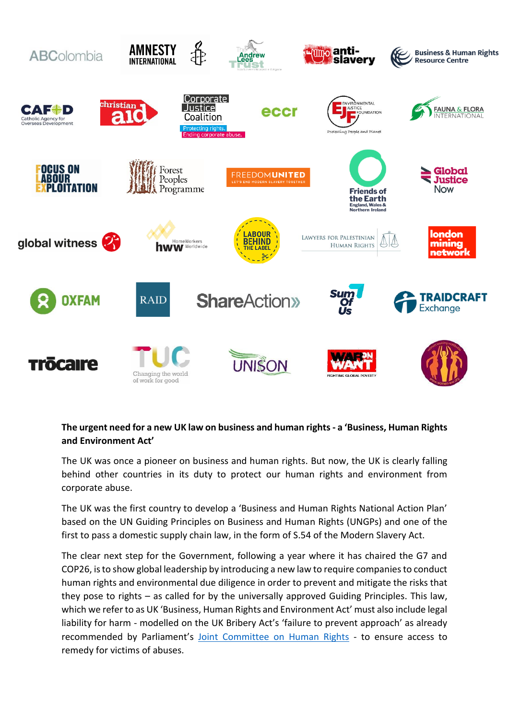

## **The urgent need for a new UK law on business and human rights- a 'Business, Human Rights and Environment Act'**

The UK was once a pioneer on business and human rights. But now, the UK is clearly falling behind other countries in its duty to protect our human rights and environment from corporate abuse.

The UK was the first country to develop a 'Business and Human Rights National Action Plan' based on the UN Guiding Principles on Business and Human Rights (UNGPs) and one of the first to pass a domestic supply chain law, in the form of S.54 of the Modern Slavery Act.

The clear next step for the Government, following a year where it has chaired the G7 and COP26, is to show global leadership by introducing a new law to require companies to conduct human rights and environmental due diligence in order to prevent and mitigate the risks that they pose to rights – as called for by the universally approved Guiding Principles. This law, which we refer to as UK 'Business, Human Rights and Environment Act' must also include legal liability for harm - modelled on the UK Bribery Act's 'failure to prevent approach' as already recommended by Parliament's [Joint Committee on Human Rights](https://publications.parliament.uk/pa/jt201617/jtselect/jtrights/443/443.pdf) - to ensure access to remedy for victims of abuses.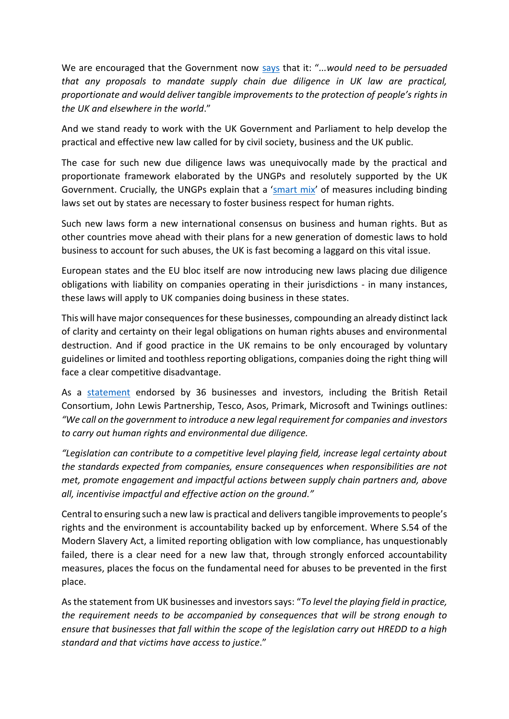We are encouraged that the Government now [says](https://committees.parliament.uk/publications/7818/documents/81312/default/) that it: "*...would need to be persuaded that any proposals to mandate supply chain due diligence in UK law are practical, proportionate and would deliver tangible improvements to the protection of people's rights in the UK and elsewhere in the world*."

And we stand ready to work with the UK Government and Parliament to help develop the practical and effective new law called for by civil society, business and the UK public.

The case for such new due diligence laws was unequivocally made by the practical and proportionate framework elaborated by the UNGPs and resolutely supported by the UK Government. Crucially*,* the UNGPs explain that a '[smart mix](https://shiftproject.org/fulfilling-the-state-duty-to-protect-a-statement-on-the-role-of-mandatory-measures-in-a-smart-mix/)' of measures including binding laws set out by states are necessary to foster business respect for human rights.

Such new laws form a new international consensus on business and human rights. But as other countries move ahead with their plans for a new generation of domestic laws to hold business to account for such abuses, the UK is fast becoming a laggard on this vital issue.

European states and the EU bloc itself are now introducing new laws placing due diligence obligations with liability on companies operating in their jurisdictions - in many instances, these laws will apply to UK companies doing business in these states.

This will have major consequencesfor these businesses, compounding an already distinct lack of clarity and certainty on their legal obligations on human rights abuses and environmental destruction. And if good practice in the UK remains to be only encouraged by voluntary guidelines or limited and toothless reporting obligations, companies doing the right thing will face a clear competitive disadvantage.

As a [statement](https://corporatejusticecoalition.org/resources/uk-businesses-investors-call-for-new-human-rights-and-environmental-due-diligence-law-2/) endorsed by 36 businesses and investors, including the British Retail Consortium, John Lewis Partnership, Tesco, Asos, Primark, Microsoft and Twinings outlines: *"We call on the government to introduce a new legal requirement for companies and investors to carry out human rights and environmental due diligence.* 

*"Legislation can contribute to a competitive level playing field, increase legal certainty about the standards expected from companies, ensure consequences when responsibilities are not met, promote engagement and impactful actions between supply chain partners and, above all, incentivise impactful and effective action on the ground."*

Central to ensuring such a new law is practical and delivers tangible improvements to people's rights and the environment is accountability backed up by enforcement. Where S.54 of the Modern Slavery Act, a limited reporting obligation with low compliance, has unquestionably failed, there is a clear need for a new law that, through strongly enforced accountability measures, places the focus on the fundamental need for abuses to be prevented in the first place.

As the statement from UK businesses and investors says: "*To level the playing field in practice, the requirement needs to be accompanied by consequences that will be strong enough to ensure that businesses that fall within the scope of the legislation carry out HREDD to a high standard and that victims have access to justice*."